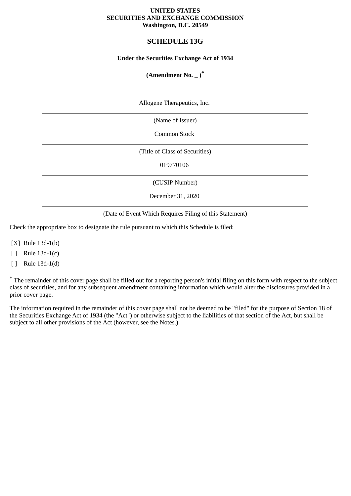#### **UNITED STATES SECURITIES AND EXCHANGE COMMISSION Washington, D.C. 20549**

# **SCHEDULE 13G**

#### **Under the Securities Exchange Act of 1934**

# **(Amendment No. \_ )\***

Allogene Therapeutics, Inc.

(Name of Issuer)

Common Stock

(Title of Class of Securities)

019770106

(CUSIP Number)

December 31, 2020

(Date of Event Which Requires Filing of this Statement)

Check the appropriate box to designate the rule pursuant to which this Schedule is filed:

[X] Rule 13d-1(b)

[ ] Rule 13d-1(c)

[ ] Rule 13d-1(d)

\* The remainder of this cover page shall be filled out for a reporting person's initial filing on this form with respect to the subject class of securities, and for any subsequent amendment containing information which would alter the disclosures provided in a prior cover page.

The information required in the remainder of this cover page shall not be deemed to be "filed" for the purpose of Section 18 of the Securities Exchange Act of 1934 (the "Act") or otherwise subject to the liabilities of that section of the Act, but shall be subject to all other provisions of the Act (however, see the Notes.)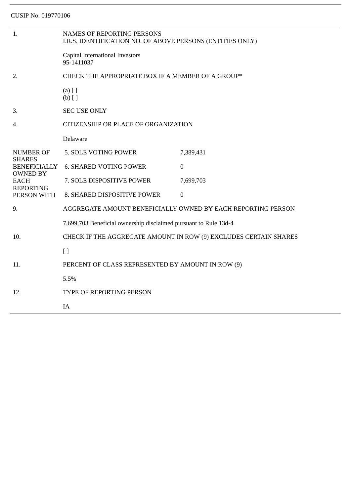| 1.                                                                | <b>NAMES OF REPORTING PERSONS</b><br>I.R.S. IDENTIFICATION NO. OF ABOVE PERSONS (ENTITIES ONLY) |                  |  |
|-------------------------------------------------------------------|-------------------------------------------------------------------------------------------------|------------------|--|
|                                                                   | Capital International Investors<br>95-1411037                                                   |                  |  |
| 2.                                                                | CHECK THE APPROPRIATE BOX IF A MEMBER OF A GROUP*                                               |                  |  |
|                                                                   | $(a)$ [ ]<br>$(b)$ []                                                                           |                  |  |
| 3.                                                                | <b>SEC USE ONLY</b>                                                                             |                  |  |
| 4.                                                                | CITIZENSHIP OR PLACE OF ORGANIZATION                                                            |                  |  |
|                                                                   | Delaware                                                                                        |                  |  |
| <b>NUMBER OF</b>                                                  | 5. SOLE VOTING POWER                                                                            | 7,389,431        |  |
| <b>SHARES</b><br><b>BENEFICIALLY</b>                              | <b>6. SHARED VOTING POWER</b>                                                                   | $\overline{0}$   |  |
| <b>OWNED BY</b><br><b>EACH</b><br><b>REPORTING</b><br>PERSON WITH | 7. SOLE DISPOSITIVE POWER                                                                       | 7,699,703        |  |
|                                                                   | 8. SHARED DISPOSITIVE POWER                                                                     | $\boldsymbol{0}$ |  |
| 9.                                                                | AGGREGATE AMOUNT BENEFICIALLY OWNED BY EACH REPORTING PERSON                                    |                  |  |
|                                                                   | 7,699,703 Beneficial ownership disclaimed pursuant to Rule 13d-4                                |                  |  |
| 10.                                                               | CHECK IF THE AGGREGATE AMOUNT IN ROW (9) EXCLUDES CERTAIN SHARES                                |                  |  |
|                                                                   | $[ ]$                                                                                           |                  |  |
| 11.                                                               | PERCENT OF CLASS REPRESENTED BY AMOUNT IN ROW (9)                                               |                  |  |
|                                                                   | 5.5%                                                                                            |                  |  |
| 12.                                                               | TYPE OF REPORTING PERSON                                                                        |                  |  |
|                                                                   | IA                                                                                              |                  |  |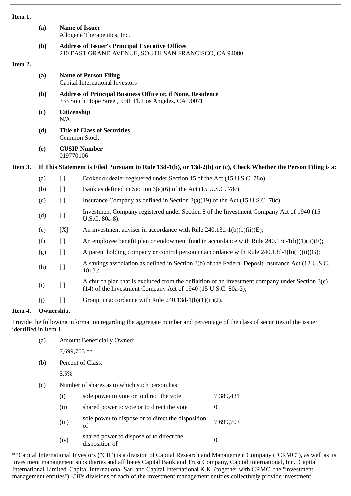|         | (a)        | <b>Name of Issuer</b><br>Allogene Therapeutics, Inc.                                                                        |                                                                                                                                                                 |  |  |
|---------|------------|-----------------------------------------------------------------------------------------------------------------------------|-----------------------------------------------------------------------------------------------------------------------------------------------------------------|--|--|
|         | (b)        | <b>Address of Issuer's Principal Executive Offices</b><br>210 EAST GRAND AVENUE, SOUTH SAN FRANCISCO, CA 94080              |                                                                                                                                                                 |  |  |
| Item 2. |            |                                                                                                                             |                                                                                                                                                                 |  |  |
|         | (a)        | <b>Name of Person Filing</b><br>Capital International Investors                                                             |                                                                                                                                                                 |  |  |
|         | (b)        | <b>Address of Principal Business Office or, if None, Residence</b><br>333 South Hope Street, 55th Fl, Los Angeles, CA 90071 |                                                                                                                                                                 |  |  |
|         | (c)        | Citizenship<br>N/A                                                                                                          |                                                                                                                                                                 |  |  |
|         | (d)        | <b>Title of Class of Securities</b><br>Common Stock                                                                         |                                                                                                                                                                 |  |  |
|         | (e)        | <b>CUSIP Number</b><br>019770106                                                                                            |                                                                                                                                                                 |  |  |
| Item 3. |            | If This Statement is Filed Pursuant to Rule 13d-1(b), or 13d-2(b) or (c), Check Whether the Person Filing is a:             |                                                                                                                                                                 |  |  |
|         | (a)        | $\left[\right]$                                                                                                             | Broker or dealer registered under Section 15 of the Act (15 U.S.C. 780).                                                                                        |  |  |
|         | (b)        | $[ ]$                                                                                                                       | Bank as defined in Section 3(a)(6) of the Act (15 U.S.C. 78c).                                                                                                  |  |  |
|         | (c)        | $\left[ \ \right]$                                                                                                          | Insurance Company as defined in Section $3(a)(19)$ of the Act (15 U.S.C. 78c).                                                                                  |  |  |
|         | (d)        | [ ]                                                                                                                         | Investment Company registered under Section 8 of the Investment Company Act of 1940 (15<br>U.S.C. 80a-8).                                                       |  |  |
|         | (e)        | [X]                                                                                                                         | An investment adviser in accordance with Rule $240.13d-1(b)(1)(ii)(E)$ ;                                                                                        |  |  |
|         | (f)        | [ ]                                                                                                                         | An employee benefit plan or endowment fund in accordance with Rule $240.13d-1(b)(1)(ii)(F);$                                                                    |  |  |
|         | (g)        | [ ]                                                                                                                         | A parent holding company or control person in accordance with Rule $240.13d-1(b)(1)(ii)(G);$                                                                    |  |  |
|         | (h)        | $[ \ ]$                                                                                                                     | A savings association as defined in Section 3(b) of the Federal Deposit Insurance Act (12 U.S.C.<br>1813);                                                      |  |  |
|         | (i)        | [ ]                                                                                                                         | A church plan that is excluded from the definition of an investment company under Section 3(c)<br>(14) of the Investment Company Act of 1940 (15 U.S.C. 80a-3); |  |  |
|         | (i)        | $\lceil$                                                                                                                    | Group, in accordance with Rule 240.13d-1(b)(1)(ii)(J).                                                                                                          |  |  |
| Item 4. | Ownership. |                                                                                                                             |                                                                                                                                                                 |  |  |

Provide the following information regarding the aggregate number and percentage of the class of securities of the issuer identified in Item 1.

(a) Amount Beneficially Owned:

7,699,703 \*\*

(b) Percent of Class:

5.5%

(c) Number of shares as to which such person has:

| (i)   | sole power to vote or to direct the vote                   | 7,389,431 |
|-------|------------------------------------------------------------|-----------|
| (ii)  | shared power to vote or to direct the vote                 |           |
| (iii) | sole power to dispose or to direct the disposition<br>of   | 7,699,703 |
| (iv)  | shared power to dispose or to direct the<br>disposition of |           |

\*\*Capital International Investors ("CII") is a division of Capital Research and Management Company ("CRMC"), as well as its investment management subsidiaries and affiliates Capital Bank and Trust Company, Capital International, Inc., Capital International Limited, Capital International Sarl and Capital International K.K. (together with CRMC, the "investment management entities"). CII's divisions of each of the investment management entities collectively provide investment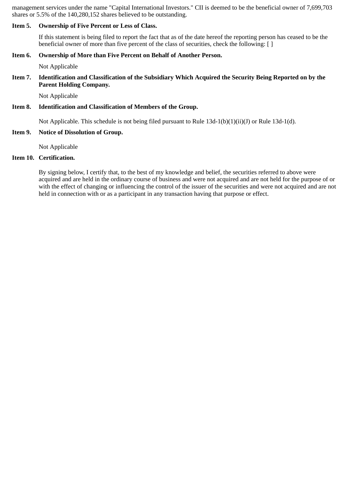management services under the name "Capital International Investors." CII is deemed to be the beneficial owner of 7,699,703 shares or 5.5% of the 140,280,152 shares believed to be outstanding.

#### **Item 5. Ownership of Five Percent or Less of Class.**

If this statement is being filed to report the fact that as of the date hereof the reporting person has ceased to be the beneficial owner of more than five percent of the class of securities, check the following: [ ]

#### **Item 6. Ownership of More than Five Percent on Behalf of Another Person.**

Not Applicable

#### **Item 7. Identification and Classification of the Subsidiary Which Acquired the Security Being Reported on by the Parent Holding Company.**

Not Applicable

#### **Item 8. Identification and Classification of Members of the Group.**

Not Applicable. This schedule is not being filed pursuant to Rule 13d-1(b)(1)(ii)(J) or Rule 13d-1(d).

### **Item 9. Notice of Dissolution of Group.**

Not Applicable

# **Item 10. Certification.**

By signing below, I certify that, to the best of my knowledge and belief, the securities referred to above were acquired and are held in the ordinary course of business and were not acquired and are not held for the purpose of or with the effect of changing or influencing the control of the issuer of the securities and were not acquired and are not held in connection with or as a participant in any transaction having that purpose or effect.